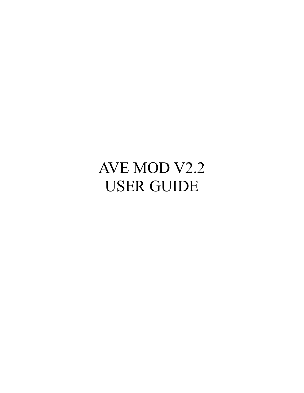## AVE MOD V2.2 USER GUIDE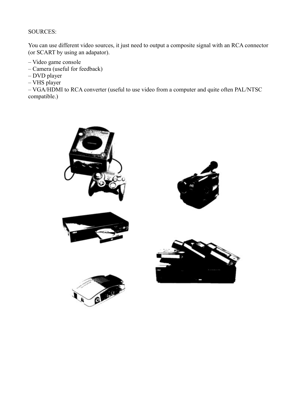## SOURCES:

You can use different video sources, it just need to output a composite signal with an RCA connector (or SCART by using an adapator).

- Video game console
- Camera (useful for feedback)
- DVD player
- VHS player

– VGA/HDMI to RCA converter (useful to use video from a computer and quite often PAL/NTSC compatible.)

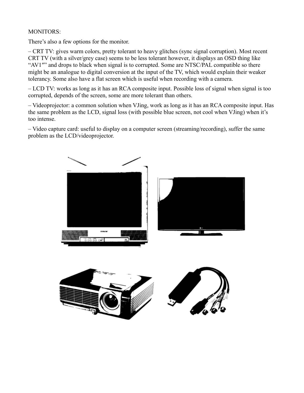## MONITORS:

There's also a few options for the monitor.

– CRT TV: gives warm colors, pretty tolerant to heavy glitches (sync signal corruption). Most recent CRT TV (with a silver/grey case) seems to be less tolerant however, it displays an OSD thing like "AV1"" and drops to black when signal is to corrupted. Some are NTSC/PAL compatible so there might be an analogue to digital conversion at the input of the TV, which would explain their weaker tolerancy. Some also have a flat screen which is useful when recording with a camera.

– LCD TV: works as long as it has an RCA composite input. Possible loss of signal when signal is too corrupted, depends of the screen, some are more tolerant than others.

– Videoprojector: a common solution when VJing, work as long as it has an RCA composite input. Has the same problem as the LCD, signal loss (with possible blue screen, not cool when VJing) when it's too intense.

– Video capture card: useful to display on a computer screen (streaming/recording), suffer the same problem as the LCD/videoprojector.

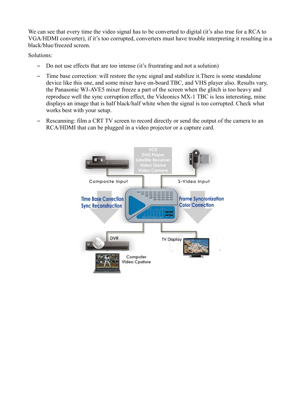We can see that every time the video signal has to be converted to digital (it's also true for a RCA to VGA/HDMI converter), if it's too corrupted, converters must have trouble interpreting it resulting in a black/blue/freezed screen.

Solutions:

- Do not use effects that are too intense (it's frustrating and not a solution)
- Time base correction: will restore the sync signal and stabilize it.There is some standalone device like this one, and some mixer have on-board TBC, and VHS player also. Results vary, the Panasonic WJ-AVE5 mixer freeze a part of the screen when the glitch is too heavy and reproduce well the sync corruption effect, the Videonics MX-1 TBC is less interesting, mine displays an image that is half black/half white when the signal is too corrupted. Check what works best with your setup.
- Rescanning: film a CRT TV screen to record directly or send the output of the camera to an RCA/HDMI that can be plugged in a video projector or a capture card.